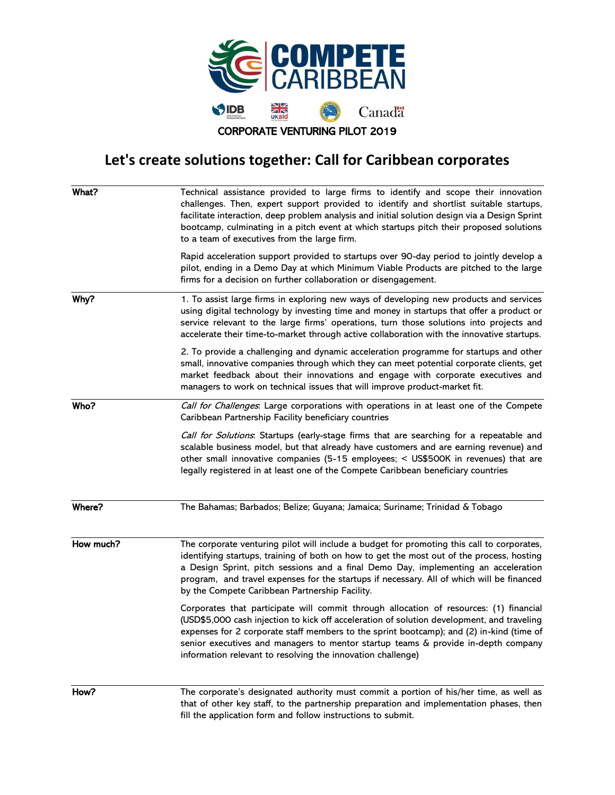

## **Let's create solutions together: Call for Caribbean corporates**

| What?     | Technical assistance provided to large firms to identify and scope their innovation<br>challenges. Then, expert support provided to identify and shortlist suitable startups,<br>facilitate interaction, deep problem analysis and initial solution design via a Design Sprint<br>bootcamp, culminating in a pitch event at which startups pitch their proposed solutions<br>to a team of executives from the large firm.            |
|-----------|--------------------------------------------------------------------------------------------------------------------------------------------------------------------------------------------------------------------------------------------------------------------------------------------------------------------------------------------------------------------------------------------------------------------------------------|
|           | Rapid acceleration support provided to startups over 90-day period to jointly develop a<br>pilot, ending in a Demo Day at which Minimum Viable Products are pitched to the large<br>firms for a decision on further collaboration or disengagement.                                                                                                                                                                                  |
| Why?      | 1. To assist large firms in exploring new ways of developing new products and services<br>using digital technology by investing time and money in startups that offer a product or<br>service relevant to the large firms' operations, turn those solutions into projects and<br>accelerate their time-to-market through active collaboration with the innovative startups.                                                          |
|           | 2. To provide a challenging and dynamic acceleration programme for startups and other<br>small, innovative companies through which they can meet potential corporate clients, get<br>market feedback about their innovations and engage with corporate executives and<br>managers to work on technical issues that will improve product-market fit.                                                                                  |
| Who?      | Call for Challenges: Large corporations with operations in at least one of the Compete<br>Caribbean Partnership Facility beneficiary countries                                                                                                                                                                                                                                                                                       |
|           | Call for Solutions: Startups (early-stage firms that are searching for a repeatable and<br>scalable business model, but that already have customers and are earning revenue) and<br>other small innovative companies (5-15 employees; < US\$500K in revenues) that are<br>legally registered in at least one of the Compete Caribbean beneficiary countries                                                                          |
| Where?    | The Bahamas; Barbados; Belize; Guyana; Jamaica; Suriname; Trinidad & Tobago                                                                                                                                                                                                                                                                                                                                                          |
| How much? | The corporate venturing pilot will include a budget for promoting this call to corporates,<br>identifying startups, training of both on how to get the most out of the process, hosting<br>a Design Sprint, pitch sessions and a final Demo Day, implementing an acceleration<br>program, and travel expenses for the startups if necessary. All of which will be financed<br>by the Compete Caribbean Partnership Facility.         |
|           | Corporates that participate will commit through allocation of resources: (1) financial<br>(USD\$5,000 cash injection to kick off acceleration of solution development, and traveling<br>expenses for 2 corporate staff members to the sprint bootcamp); and (2) in-kind (time of<br>senior executives and managers to mentor startup teams & provide in-depth company<br>information relevant to resolving the innovation challenge) |
| How?      | The corporate's designated authority must commit a portion of his/her time, as well as<br>that of other key staff to the nartnership preparation and implementation phases then                                                                                                                                                                                                                                                      |

that of other key staff, to the partnership preparation and implementation phases, then fill the application form and follow instructions to submit.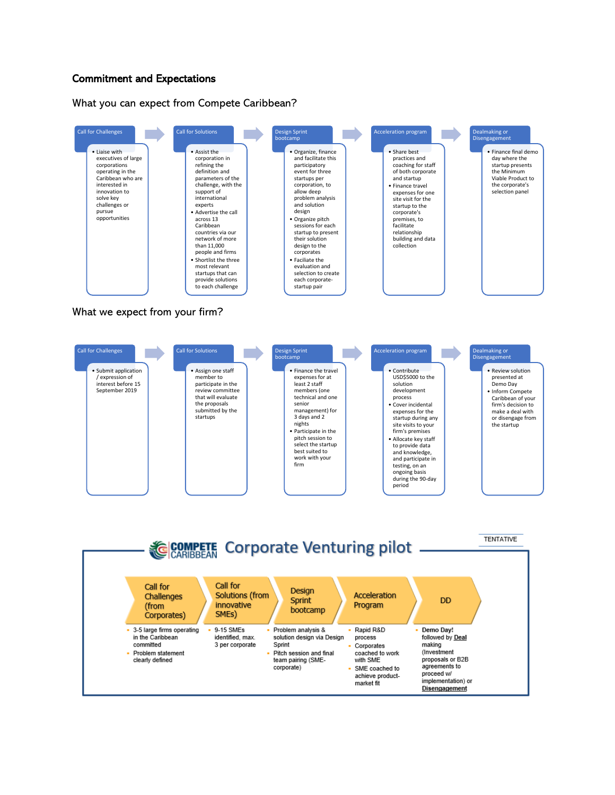## Commitment and Expectations

What you can expect from Compete Caribbean?